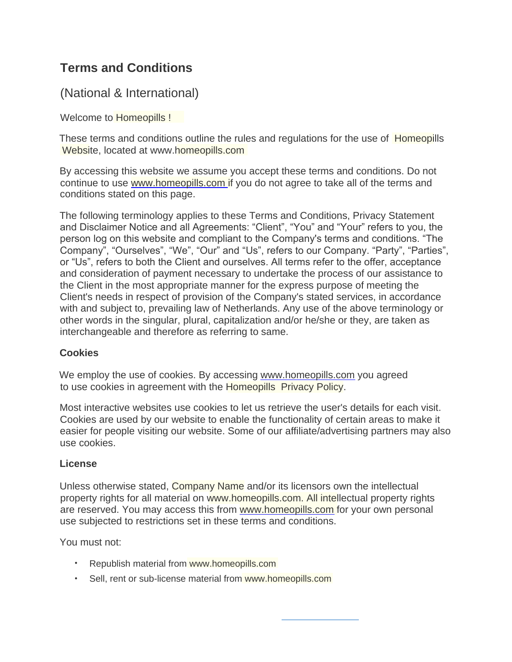# **Terms and Conditions**

# (National & International)

Welcome to **Homeopills !** 

These terms and conditions outline the rules and regulations for the use of Homeopills Website, located at www.homeopills.com

By accessing this website we assume you accept these terms and conditions. Do not conditions stated on this page. continue to use [www.homeopills.com i](http://www.brewingnotes.in/)f you do not agree to take all of the terms and

The following terminology applies to these Terms and Conditions, Privacy Statement and Disclaimer Notice and all Agreements: "Client", "You" and "Your" refers to you, the person log on this website and compliant to the Company's terms and conditions. "The Company", "Ourselves", "We", "Our" and "Us", refers to our Company. "Party", "Parties", or "Us", refers to both the Client and ourselves. All terms refer to the offer, acceptance and consideration of payment necessary to undertake the process of our assistance to the Client in the most appropriate manner for the express purpose of meeting the Client's needs in respect of provision of the Company's stated services, in accordance with and subject to, prevailing law of Netherlands. Any use of the above terminology or other words in the singular, plural, capitalization and/or he/she or they, are taken as interchangeable and therefore as referring to same.

#### **Cookies**

We employ the use of cookies. By accessing [www.homeopills.com](http://www.brewingnotes.in/) you agreed to use cookies in agreement with the Homeopills Privacy Policy.

Most interactive websites use cookies to let us retrieve the user's details for each visit. Cookies are used by our website to enable the functionality of certain areas to make it easier for people visiting our website. Some of our affiliate/advertising partners may also use cookies.

#### **License**

Unless otherwise stated, Company Name and/or its licensors own the intellectual use subjected to restrictions set in these terms and conditions. property rights for all material on www.homeopills.com. All intellectual property rights are reserved. You may access this from [www.homeopills.com](http://www.brewingnotes.in/) for your own personal

You must not:

- Republish material from www.homeopills.com
- Sell, rent or sub-license material from www.homeopills.com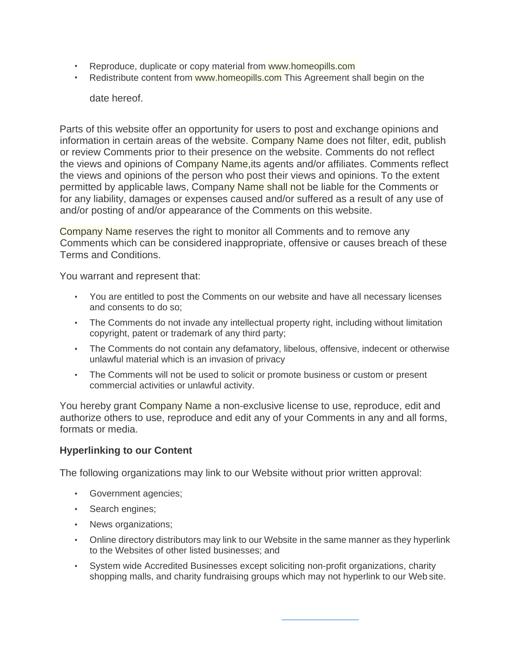- Reproduce, duplicate or copy material from www.homeopills.com
- Redistribute content from www.homeopills.com This Agreement shall begin on the

date hereof.

Parts of this website offer an opportunity for users to post and exchange opinions and information in certain areas of the website. Company Name does not filter, edit, publish or review Comments prior to their presence on the website. Comments do not reflect the views and opinions of Company Name, its agents and/or affiliates. Comments reflect the views and opinions of the person who post their views and opinions. To the extent permitted by applicable laws, Company Name shall not be liable for the Comments or for any liability, damages or expenses caused and/or suffered as a result of any use of and/or posting of and/or appearance of the Comments on this website.

Company Name reserves the right to monitor all Comments and to remove any Comments which can be considered inappropriate, offensive or causes breach of these Terms and Conditions.

You warrant and represent that:

- You are entitled to post the Comments on our website and have all necessary licenses and consents to do so;
- The Comments do not invade any intellectual property right, including without limitation copyright, patent or trademark of any third party;
- The Comments do not contain any defamatory, libelous, offensive, indecent or otherwise unlawful material which is an invasion of privacy
- The Comments will not be used to solicit or promote business or custom or present commercial activities or unlawful activity.

You hereby grant Company Name a non-exclusive license to use, reproduce, edit and authorize others to use, reproduce and edit any of your Comments in any and all forms, formats or media.

#### **Hyperlinking to our Content**

The following organizations may link to our Website without prior written approval:

- Government agencies;
- Search engines;
- News organizations;
- Online directory distributors may link to our Website in the same manner as they hyperlink to the Websites of other listed businesses; and
- System wide Accredited Businesses except soliciting non-profit organizations, charity shopping malls, and charity fundraising groups which may not hyperlink to our Web site.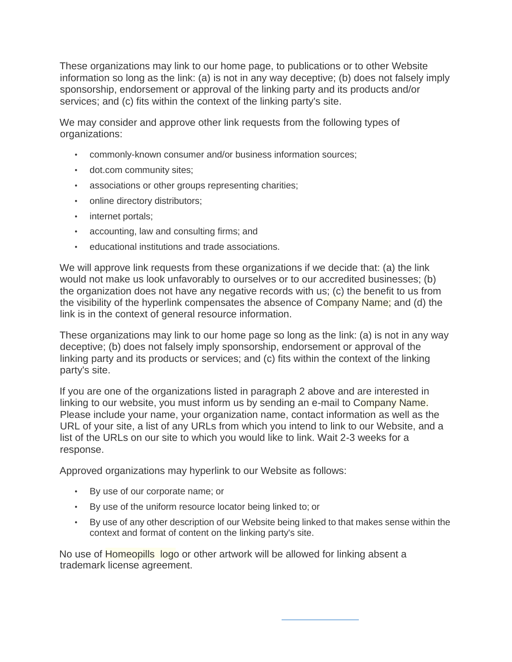These organizations may link to our home page, to publications or to other Website information so long as the link: (a) is not in any way deceptive; (b) does not falsely imply sponsorship, endorsement or approval of the linking party and its products and/or services; and (c) fits within the context of the linking party's site.

We may consider and approve other link requests from the following types of organizations:

- commonly-known consumer and/or business information sources;
- dot.com community sites;
- associations or other groups representing charities;
- online directory distributors;
- internet portals;
- accounting, law and consulting firms; and
- educational institutions and trade associations.

We will approve link requests from these organizations if we decide that: (a) the link would not make us look unfavorably to ourselves or to our accredited businesses; (b) the organization does not have any negative records with us; (c) the benefit to us from the visibility of the hyperlink compensates the absence of Company Name; and (d) the link is in the context of general resource information.

These organizations may link to our home page so long as the link: (a) is not in any way deceptive; (b) does not falsely imply sponsorship, endorsement or approval of the linking party and its products or services; and (c) fits within the context of the linking party's site.

If you are one of the organizations listed in paragraph 2 above and are interested in linking to our website, you must inform us by sending an e-mail to Company Name. Please include your name, your organization name, contact information as well as the URL of your site, a list of any URLs from which you intend to link to our Website, and a list of the URLs on our site to which you would like to link. Wait 2-3 weeks for a response.

Approved organizations may hyperlink to our Website as follows:

- By use of our corporate name; or
- By use of the uniform resource locator being linked to; or
- By use of any other description of our Website being linked to that makes sense within the context and format of content on the linking party's site.

trademark license agreement. No use of Homeopills logo or other artwork will be allowed for linking absent a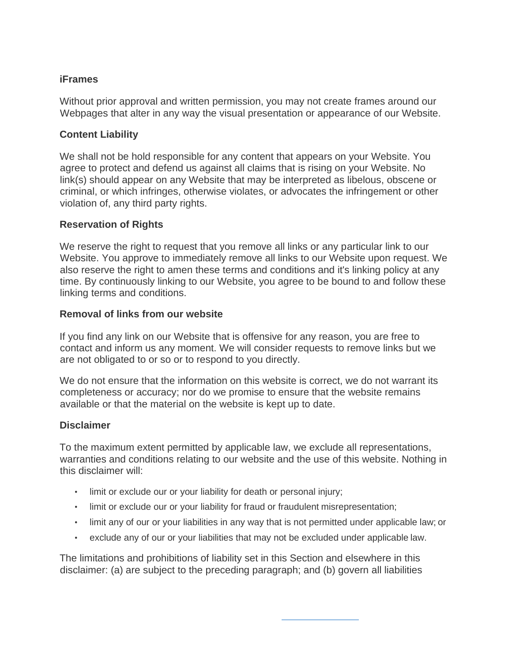## **iFrames**

Without prior approval and written permission, you may not create frames around our Webpages that alter in any way the visual presentation or appearance of our Website.

### **Content Liability**

We shall not be hold responsible for any content that appears on your Website. You agree to protect and defend us against all claims that is rising on your Website. No link(s) should appear on any Website that may be interpreted as libelous, obscene or criminal, or which infringes, otherwise violates, or advocates the infringement or other violation of, any third party rights.

## **Reservation of Rights**

We reserve the right to request that you remove all links or any particular link to our Website. You approve to immediately remove all links to our Website upon request. We also reserve the right to amen these terms and conditions and it's linking policy at any time. By continuously linking to our Website, you agree to be bound to and follow these linking terms and conditions.

#### **Removal of links from our website**

If you find any link on our Website that is offensive for any reason, you are free to contact and inform us any moment. We will consider requests to remove links but we are not obligated to or so or to respond to you directly.

We do not ensure that the information on this website is correct, we do not warrant its completeness or accuracy; nor do we promise to ensure that the website remains available or that the material on the website is kept up to date.

#### **Disclaimer**

To the maximum extent permitted by applicable law, we exclude all representations, warranties and conditions relating to our website and the use of this website. Nothing in this disclaimer will:

- limit or exclude our or your liability for death or personal injury;
- limit or exclude our or your liability for fraud or fraudulent misrepresentation;
- limit any of our or your liabilities in any way that is not permitted under applicable law; or
- exclude any of our or your liabilities that may not be excluded under applicable law.

The limitations and prohibitions of liability set in this Section and elsewhere in this disclaimer: (a) are subject to the preceding paragraph; and (b) govern all liabilities